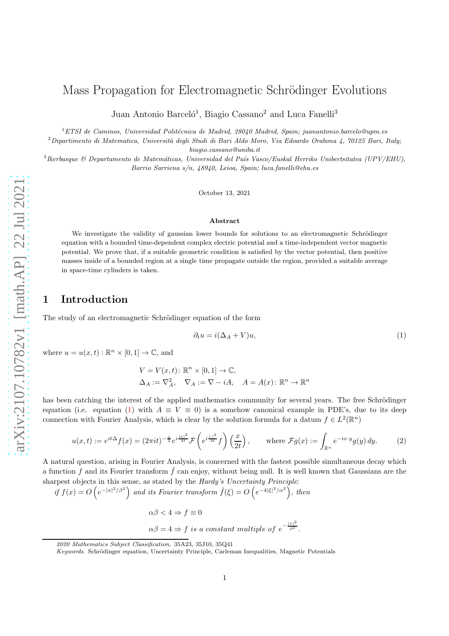# Mass Propagation for Electromagnetic Schrödinger Evolutions

Juan Antonio Barceló<sup>1</sup>, Biagio Cassano<sup>2</sup> and Luca Fanelli<sup>3</sup>

 $1$ ETSI de Caminos, Universidad Politécnica de Madrid, 28040 Madrid, Spain; juanantonio.barcelo@upm.es

 $2$ Dipartimento di Matematica, Università degli Studi di Bari Aldo Moro, Via Edoardo Orabona 4, 70125 Bari, Italy; biagio.cassano@uniba.it

<sup>3</sup> Ikerbasque & Departamento de Matemáticas, Universidad del País Vasco/Euskal Herriko Unibertsitatea (UPV/EHU), Barrio Sarriena s/n, 48940, Leioa, Spain; luca.fanelli@ehu.es

October 13, 2021

#### Abstract

We investigate the validity of gaussian lower bounds for solutions to an electromagnetic Schrödinger equation with a bounded time-dependent complex electric potential and a time-independent vector magnetic potential. We prove that, if a suitable geometric condition is satisfied by the vector potential, then positive masses inside of a bounded region at a single time propagate outside the region, provided a suitable average in space-time cylinders is taken.

### 1 Introduction

The study of an electromagnetic Schrödinger equation of the form

<span id="page-0-0"></span>
$$
\partial_t u = i(\Delta_A + V)u,\tag{1}
$$

where  $u = u(x, t) : \mathbb{R}^n \times [0, 1] \to \mathbb{C}$ , and

$$
V = V(x, t): \mathbb{R}^n \times [0, 1] \to \mathbb{C},
$$
  
\n
$$
\Delta_A := \nabla_A^2, \quad \nabla_A := \nabla - iA, \quad A = A(x): \mathbb{R}^n \to \mathbb{R}^n
$$

has been catching the interest of the applied mathematics community for several years. The free Schrödinger equation (i.e. equation [\(1\)](#page-0-0) with  $A \equiv V \equiv 0$ ) is a somehow canonical example in PDE's, due to its deep connection with Fourier Analysis, which is clear by the solution formula for a datum  $f \in L^2(\mathbb{R}^n)$ 

<span id="page-0-1"></span>
$$
u(x,t) := e^{it\Delta} f(x) = (2\pi it)^{-\frac{n}{2}} e^{i\frac{|x|^2}{4t}} \mathcal{F}\left(e^{i\frac{|x|^2}{4t}} f\right)\left(\frac{x}{2t}\right), \qquad \text{where } \mathcal{F}g(x) := \int_{\mathbb{R}^n} e^{-ix \cdot y} g(y) \, dy. \tag{2}
$$

A natural question, arising in Fourier Analysis, is concerned with the fastest possible simultaneous decay which a function f and its Fourier transform  $\hat{f}$  can enjoy, without being null. It is well known that Gaussians are the sharpest objects in this sense, as stated by the Hardy's Uncertainty Principle:

if  $f(x) = O\left(e^{-|x|^2/\beta^2}\right)$  and its Fourier transform  $\hat{f}(\xi) = O\left(e^{-4|\xi|^2/\alpha^2}\right)$ , then

 $\alpha\beta < 4 \Rightarrow f \equiv 0$  $\alpha\beta = 4 \Rightarrow f$  is a constant multiple of  $e^{-\frac{|x|^2}{\beta^2}}$ .

<sup>2020</sup> Mathematics Subject Classification. 35A23, 35J10, 35Q41

Keywords. Schrödinger equation, Uncertainty Principle, Carleman Inequalities, Magnetic Potentials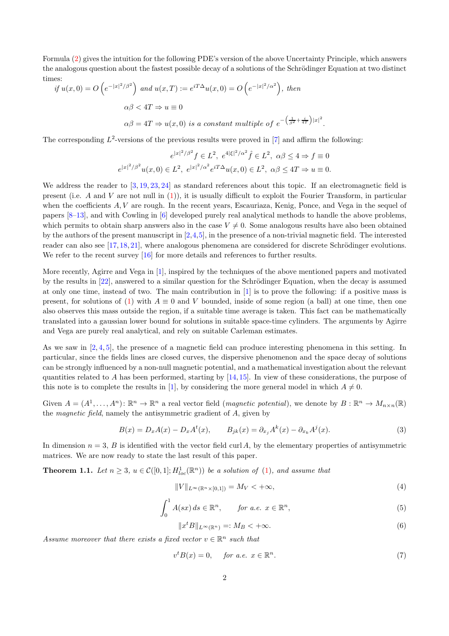Formula [\(2\)](#page-0-1) gives the intuition for the following PDE's version of the above Uncertainty Principle, which answers the analogous question about the fastest possible decay of a solutions of the Schrödinger Equation at two distinct times:

if 
$$
u(x, 0) = O(e^{-|x|^2/\beta^2})
$$
 and  $u(x, T) := e^{iT\Delta}u(x, 0) = O(e^{-|x|^2/\alpha^2})$ , then  
\n
$$
\alpha\beta < 4T \Rightarrow u \equiv 0
$$
\n
$$
\alpha\beta = 4T \Rightarrow u(x, 0) \text{ is a constant multiple of } e^{-\left(\frac{1}{\beta^2} + \frac{i}{4T}\right)|x|^2}.
$$

The corresponding  $L^2$ -versions of the previous results were proved in [\[7\]](#page-11-0) and affirm the following:

$$
e^{|x|^2/\beta^2} f \in L^2, \ e^{4|\xi|^2/\alpha^2} \hat{f} \in L^2, \ \alpha\beta \le 4 \Rightarrow f \equiv 0
$$
  

$$
e^{|x|^2/\beta^2} u(x,0) \in L^2, \ e^{|x|^2/\alpha^2} e^{iT\Delta} u(x,0) \in L^2, \ \alpha\beta \le 4T \Rightarrow u \equiv 0.
$$

We address the reader to [\[3,](#page-11-1) [19,](#page-12-0) [23,](#page-12-1) [24\]](#page-12-2) as standard references about this topic. If an electromagnetic field is present (i.e.  $A$  and  $V$  are not null in  $(1)$ ), it is usually difficult to exploit the Fourier Transform, in particular when the coefficients A, V are rough. In the recent years, Escauriaza, Kenig, Ponce, and Vega in the sequel of papers [\[8](#page-11-2)[–13\]](#page-12-3), and with Cowling in [\[6\]](#page-11-3) developed purely real analytical methods to handle the above problems, which permits to obtain sharp answers also in the case  $V \neq 0$ . Some analogous results have also been obtained by the authors of the present manuscript in  $[2,4,5]$  $[2,4,5]$  $[2,4,5]$ , in the presence of a non-trivial magnetic field. The interested reader can also see  $[17, 18, 21]$  $[17, 18, 21]$  $[17, 18, 21]$  $[17, 18, 21]$ , where analogous phenomena are considered for discrete Schrödinger evolutions. We refer to the recent survey [\[16\]](#page-12-7) for more details and references to further results.

More recently, Agirre and Vega in [\[1\]](#page-11-7), inspired by the techniques of the above mentioned papers and motivated by the results in [\[22\]](#page-12-8), answered to a similar question for the Schrödinger Equation, when the decay is assumed at only one time, instead of two. The main contribution in [\[1\]](#page-11-7) is to prove the following: if a positive mass is present, for solutions of [\(1\)](#page-0-0) with  $A \equiv 0$  and V bounded, inside of some region (a ball) at one time, then one also observes this mass outside the region, if a suitable time average is taken. This fact can be mathematically translated into a gaussian lower bound for solutions in suitable space-time cylinders. The arguments by Agirre and Vega are purely real analytical, and rely on suitable Carleman estimates.

As we saw in [\[2,](#page-11-4) [4,](#page-11-5) [5\]](#page-11-6), the presence of a magnetic field can produce interesting phenomena in this setting. In particular, since the fields lines are closed curves, the dispersive phenomenon and the space decay of solutions can be strongly influenced by a non-null magnetic potential, and a mathematical investigation about the relevant quantities related to A has been performed, starting by  $[14,15]$  $[14,15]$ . In view of these considerations, the purpose of this note is to complete the results in [\[1\]](#page-11-7), by considering the more general model in which  $A \neq 0$ .

Given  $A = (A^1, \ldots, A^n) : \mathbb{R}^n \to \mathbb{R}^n$  a real vector field (*magnetic potential*), we denote by  $B : \mathbb{R}^n \to M_{n \times n}(\mathbb{R})$ the magnetic field, namely the antisymmetric gradient of A, given by

$$
B(x) = D_x A(x) - D_x A^t(x), \qquad B_{jk}(x) = \partial_{x_j} A^k(x) - \partial_{x_k} A^j(x).
$$
 (3)

<span id="page-1-0"></span>In dimension  $n = 3$ , B is identified with the vector field curl A, by the elementary properties of antisymmetric matrices. We are now ready to state the last result of this paper.

**Theorem 1.1.** Let  $n \geq 3$ ,  $u \in \mathcal{C}([0,1]; H_{loc}^1(\mathbb{R}^n))$  be a solution of [\(1\)](#page-0-0), and assume that

<span id="page-1-3"></span>
$$
||V||_{L^{\infty}(\mathbb{R}^n \times [0,1])} = M_V < +\infty,
$$
\n<sup>(4)</sup>

<span id="page-1-1"></span>
$$
\int_0^1 A(sx) ds \in \mathbb{R}^n, \qquad \text{for a.e. } x \in \mathbb{R}^n,
$$
 (5)

$$
||x^t B||_{L^{\infty}(\mathbb{R}^n)} =: M_B < +\infty.
$$
\n<sup>(6)</sup>

Assume moreover that there exists a fixed vector  $v \in \mathbb{R}^n$  such that

<span id="page-1-2"></span>
$$
v^t B(x) = 0, \quad \text{for a.e. } x \in \mathbb{R}^n. \tag{7}
$$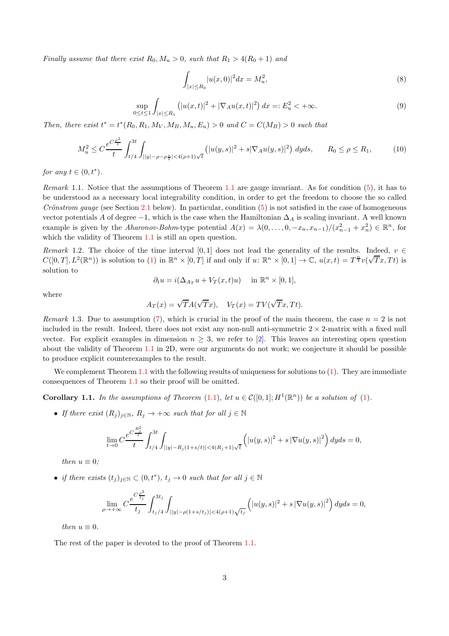Finally assume that there exist  $R_0, M_u > 0$ , such that  $R_1 > 4(R_0 + 1)$  and

<span id="page-2-0"></span>
$$
\int_{|x| \le R_0} |u(x,0)|^2 dx = M_u^2,\tag{8}
$$

<span id="page-2-1"></span>
$$
\sup_{0 \le t \le 1} \int_{|x| \le R_1} \left( |u(x, t)|^2 + |\nabla_A u(x, t)|^2 \right) dx =: E_u^2 < +\infty.
$$
\n(9)

Then, there exist  $t^* = t^*(R_0, R_1, M_V, M_B, M_u, E_u) > 0$  and  $C = C(M_B) > 0$  such that

<span id="page-2-2"></span>
$$
M_u^2 \le C \frac{e^{C \frac{\rho^2}{t}}}{t} \int_{t/4}^{3t} \int_{||y| - \rho - \rho \frac{s}{t}| < 4(\rho + 1)\sqrt{t}} \left( |u(y, s)|^2 + s|\nabla_A u(y, s)|^2 \right) dy ds, \qquad R_0 \le \rho \le R_1,\tag{10}
$$

for any  $t \in (0, t^*)$ .

Remark [1.1](#page-1-0). Notice that the assumptions of Theorem 1.1 are gauge invariant. As for condition  $(5)$ , it has to be understood as a necessary local integrability condition, in order to get the freedom to choose the so called Crönstrom gauge (see Section [2.1](#page-3-0) below). In particular, condition  $(5)$  is not satisfied in the case of homogeneous vector potentials A of degree  $-1$ , which is the case when the Hamiltonian  $\Delta_A$  is scaling invariant. A well known example is given by the *Aharonov-Bohm*-type potential  $A(x) = \lambda(0, \ldots, 0, -x_n, x_{n-1})/(x_{n-1}^2 + x_n^2) \in \mathbb{R}^n$ , for which the validity of Theorem [1.1](#page-1-0) is still an open question.

Remark 1.2. The choice of the time interval [0, 1] does not lead the generality of the results. Indeed,  $v \in$  $C([0,T], L^2(\mathbb{R}^n))$  is solution to [\(1\)](#page-0-0) in  $\mathbb{R}^n \times [0,T]$  if and only if  $u \colon \mathbb{R}^n \times [0,1] \to \mathbb{C}$ ,  $u(x,t) = T^{\frac{n}{4}}v(\sqrt{T}x, Tt)$  is solution to

$$
\partial_t u = i(\Delta_{A_T} u + V_T(x, t)u) \quad \text{ in } \mathbb{R}^n \times [0, 1],
$$

where

$$
A_T(x) = \sqrt{T}A(\sqrt{T}x), \quad V_T(x) = TV(\sqrt{T}x, Tt).
$$

Remark 1.3. Due to assumption [\(7\)](#page-1-2), which is crucial in the proof of the main theorem, the case  $n = 2$  is not included in the result. Indeed, there does not exist any non-null anti-symmetric  $2 \times 2$ -matrix with a fixed null vector. For explicit examples in dimension  $n \geq 3$ , we refer to [\[2\]](#page-11-4). This leaves an interesting open question about the validity of Theorem [1.1](#page-1-0) in 2D, were our arguments do not work; we conjecture it should be possible to produce explicit counterexamples to the result.

We complement Theorem [1.1](#page-1-0) with the following results of uniqueness for solutions to  $(1)$ . They are immediate consequences of Theorem [1.1](#page-1-0) so their proof will be omitted.

**Corollary 1.1.** In the assumptions of Theorem [\(1.1\)](#page-1-0), let  $u \in C([0,1]; H^1(\mathbb{R}^n))$  be a solution of [\(1\)](#page-0-0).

• If there exist  $(R_i)_{i\in\mathbb{N}}$ ,  $R_i \to +\infty$  such that for all  $j \in \mathbb{N}$ 

$$
\lim_{t \to 0} C \frac{e^{C \frac{R_j^2}{t}}}{t} \int_{t/4}^{3t} \int_{||y|-R_j(1+s/t)| < 4(R_j+1)\sqrt{t}} \left( |u(y,s)|^2 + s |\nabla u(y,s)|^2 \right) dyds = 0,
$$

then  $u \equiv 0$ ;

• if there exists  $(t_j)_{j\in\mathbb{N}} \subset (0,t^*)$ ,  $t_j \to 0$  such that for all  $j \in \mathbb{N}$ 

$$
\lim_{\rho \to +\infty} C \frac{e^{C \frac{\rho^2}{t_j}}}{t_j} \int_{t_j/4}^{3t_j} \int_{||y| - \rho(1+s/t_j)| < 4(\rho+1)\sqrt{t_j}} \left( |u(y,s)|^2 + s |\nabla u(y,s)|^2 \right) dyds = 0,
$$

then  $u \equiv 0$ .

The rest of the paper is devoted to the proof of Theorem [1.1.](#page-1-0)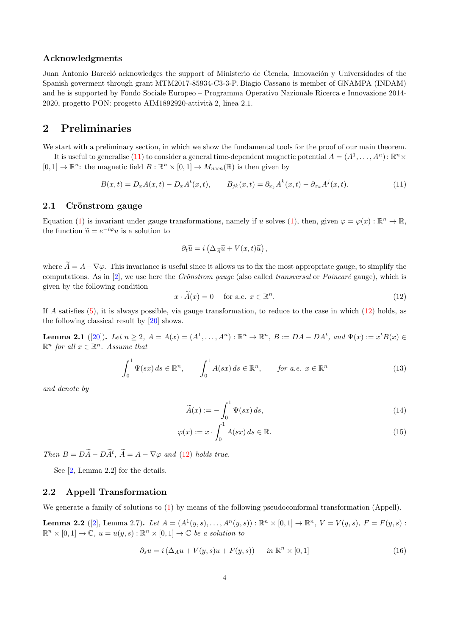#### Acknowledgments

Juan Antonio Barceló acknowledges the support of Ministerio de Ciencia, Innovación y Universidades of the Spanish goverment through grant MTM2017-85934-C3-3-P. Biagio Cassano is member of GNAMPA (INDAM) and he is supported by Fondo Sociale Europeo – Programma Operativo Nazionale Ricerca e Innovazione 2014- 2020, progetto PON: progetto AIM1892920-attività 2, linea 2.1.

## 2 Preliminaries

We start with a preliminary section, in which we show the fundamental tools for the proof of our main theorem.

It is useful to generalise [\(11\)](#page-3-1) to consider a general time-dependent magnetic potential  $A = (A^1, \ldots, A^n)$ :  $\mathbb{R}^n \times$  $[0,1] \to \mathbb{R}^n$ : the magnetic field  $B : \mathbb{R}^n \times [0,1] \to M_{n \times n}(\mathbb{R})$  is then given by

<span id="page-3-1"></span>
$$
B(x,t) = D_x A(x,t) - D_x A^t(x,t), \qquad B_{jk}(x,t) = \partial_{x_j} A^k(x,t) - \partial_{x_k} A^j(x,t).
$$
 (11)

#### <span id="page-3-0"></span>2.1 Crönstrom gauge

Equation [\(1\)](#page-0-0) is invariant under gauge transformations, namely if u solves (1), then, given  $\varphi = \varphi(x) : \mathbb{R}^n \to \mathbb{R}$ , the function  $\widetilde{u} = e^{-i\varphi}u$  is a solution to

$$
\partial_t \widetilde{u} = i \left( \Delta_{\widetilde{A}} \widetilde{u} + V(x, t) \widetilde{u} \right),
$$

where  $\widetilde{A} = A - \nabla \varphi$ . This invariance is useful since it allows us to fix the most appropriate gauge, to simplify the computations. As in  $[2]$ , we use here the *Crönstrom gauge* (also called *transversal* or *Poincaré* gauge), which is given by the following condition

<span id="page-3-2"></span>
$$
x \cdot \widetilde{A}(x) = 0 \quad \text{for a.e. } x \in \mathbb{R}^n. \tag{12}
$$

<span id="page-3-3"></span>If A satisfies [\(5\)](#page-1-1), it is always possible, via gauge transformation, to reduce to the case in which [\(12\)](#page-3-2) holds, as the following classical result by [\[20\]](#page-12-11) shows.

**Lemma 2.1** ([\[20\]](#page-12-11)). Let  $n \ge 2$ ,  $A = A(x) = (A^1, ..., A^n) : \mathbb{R}^n \to \mathbb{R}^n$ ,  $B := DA - DA^t$ , and  $\Psi(x) := x^t B(x) \in \mathbb{R}^n$  $\mathbb{R}^n$  for all  $x \in \mathbb{R}^n$ . Assume that

$$
\int_0^1 \Psi(sx) \, ds \in \mathbb{R}^n, \qquad \int_0^1 A(sx) \, ds \in \mathbb{R}^n, \qquad \text{for a.e. } x \in \mathbb{R}^n \tag{13}
$$

and denote by

$$
\widetilde{A}(x) := -\int_0^1 \Psi(sx) \, ds,\tag{14}
$$

$$
\varphi(x) := x \cdot \int_0^1 A(sx) \, ds \in \mathbb{R}.\tag{15}
$$

Then  $B = D\tilde{A} - D\tilde{A}^t$ ,  $\tilde{A} = A - \nabla \varphi$  and [\(12\)](#page-3-2) holds true.

See [\[2,](#page-11-4) Lemma 2.2] for the details.

### 2.2 Appell Transformation

<span id="page-3-4"></span>We generate a family of solutions to  $(1)$  by means of the following pseudoconformal transformation (Appell).

**Lemma 2.2** ([\[2\]](#page-11-4), Lemma 2.7). Let  $A = (A^1(y, s), \ldots, A^n(y, s)) : \mathbb{R}^n \times [0, 1] \to \mathbb{R}^n$ ,  $V = V(y, s)$ ,  $F = F(y, s)$ :  $\mathbb{R}^n \times [0,1] \to \mathbb{C}, u = u(y,s) : \mathbb{R}^n \times [0,1] \to \mathbb{C}$  be a solution to

$$
\partial_s u = i \left( \Delta_A u + V(y, s) u + F(y, s) \right) \quad \text{in } \mathbb{R}^n \times [0, 1] \tag{16}
$$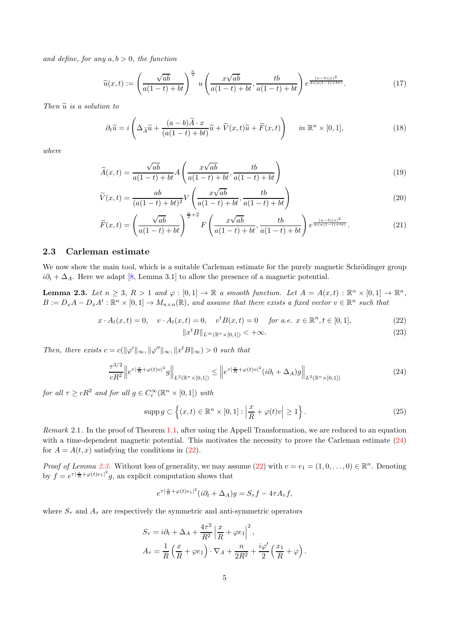and define, for any  $a, b > 0$ , the function

$$
\widetilde{u}(x,t) := \left(\frac{\sqrt{ab}}{a(1-t)+bt}\right)^{\frac{n}{2}} u\left(\frac{x\sqrt{ab}}{a(1-t)+bt}, \frac{tb}{a(1-t)+bt}\right) e^{\frac{(a-b)|x|^2}{4i(a(1-t)+bt)}}.
$$
\n(17)

Then  $\tilde{u}$  is a solution to

$$
\partial_t \widetilde{u} = i \left( \Delta_{\widetilde{A}} \widetilde{u} + \frac{(a-b)\widetilde{A} \cdot x}{(a(1-t)+bt)} \widetilde{u} + \widetilde{V}(x,t)\widetilde{u} + \widetilde{F}(x,t) \right) \quad in \ \mathbb{R}^n \times [0,1], \tag{18}
$$

where

$$
\widetilde{A}(x,t) = \frac{\sqrt{ab}}{a(1-t) + bt} A\left(\frac{x\sqrt{ab}}{a(1-t) + bt}, \frac{tb}{a(1-t) + bt}\right)
$$
\n(19)

$$
\widetilde{V}(x,t) = \frac{ab}{(a(1-t)+bt)^2} V\left(\frac{x\sqrt{ab}}{a(1-t)+bt}, \frac{tb}{a(1-t)+bt}\right)
$$
\n(20)

$$
\widetilde{F}(x,t) = \left(\frac{\sqrt{ab}}{a(1-t)+bt}\right)^{\frac{n}{2}+2} F\left(\frac{x\sqrt{ab}}{a(1-t)+bt}, \frac{tb}{a(1-t)+bt}\right) e^{\frac{(a-b)|x|^2}{4i(a(1-t)+bt)}}.
$$
\n(21)

#### 2.3 Carleman estimate

<span id="page-4-2"></span>We now show the main tool, which is a suitable Carleman estimate for the purely magnetic Schrödinger group  $i\partial_t + \Delta_A$ . Here we adapt [\[8,](#page-11-2) Lemma 3.1] to allow the presence of a magnetic potential.

**Lemma 2.3.** Let  $n \geq 3$ ,  $R > 1$  and  $\varphi : [0,1] \to \mathbb{R}$  a smooth function. Let  $A = A(x,t) : \mathbb{R}^n \times [0,1] \to \mathbb{R}^n$ ,  $B := D_x A - D_x A^t : \mathbb{R}^n \times [0,1] \to M_{n \times n}(\mathbb{R})$ , and assume that there exists a fixed vector  $v \in \mathbb{R}^n$  such that

$$
x \cdot A_t(x,t) = 0, \quad v \cdot A_t(x,t) = 0, \quad v^t B(x,t) = 0 \quad \text{for a.e. } x \in \mathbb{R}^n, t \in [0,1], \tag{22}
$$

<span id="page-4-3"></span><span id="page-4-1"></span>
$$
||x^t B||_{L^\infty(\mathbb{R}^n \times [0,1])} < +\infty.
$$
\n(23)

Then, there exists  $c = c(||\varphi'||_{\infty}, ||\varphi''||_{\infty}, ||x^t B||_{\infty}) > 0$  such that

<span id="page-4-0"></span>
$$
\frac{\tau^{3/2}}{cR^2} \left\| e^{\tau |\frac{x}{R} + \varphi(t)v|^2} g \right\|_{L^2(\mathbb{R}^n \times [0,1])} \le \left\| e^{\tau |\frac{x}{R} + \varphi(t)v|^2} (i\partial_t + \Delta_A) g \right\|_{L^2(\mathbb{R}^n \times [0,1])}
$$
(24)

for all  $\tau \ge cR^2$  and for all  $g \in C_c^{\infty}(\mathbb{R}^n \times [0,1])$  with

<span id="page-4-4"></span>
$$
\operatorname{supp} g \subset \left\{ (x, t) \in \mathbb{R}^n \times [0, 1] : \left| \frac{x}{R} + \varphi(t)v \right| \ge 1 \right\}. \tag{25}
$$

Remark 2.1. In the proof of Theorem [1.1,](#page-1-0) after using the Appell Transformation, we are reduced to an equation with a time-dependent magnetic potential. This motivates the necessity to prove the Carleman estimate  $(24)$ for  $A = A(t, x)$  satisfying the conditions in [\(22\)](#page-4-1).

Proof of Lemma [2.3.](#page-4-2) Without loss of generality, we may assume [\(22\)](#page-4-1) with  $v = e_1 = (1, 0, \ldots, 0) \in \mathbb{R}^n$ . Denoting by  $f = e^{\tau |\frac{x}{R} + \varphi(t)e_1|^2} g$ , an explicit computation shows that

$$
e^{\tau |\frac{x}{R} + \varphi(t)e_1|^2} (i\partial_t + \Delta_A)g = S_{\tau}f - 4\tau A_{\tau}f,
$$

where  $S_{\tau}$  and  $A_{\tau}$  are respectively the symmetric and anti-symmetric operators

$$
S_{\tau} = i\partial_t + \Delta_A + \frac{4\tau^2}{R^2} \left| \frac{x}{R} + \varphi e_1 \right|^2,
$$
  

$$
A_{\tau} = \frac{1}{R} \left( \frac{x}{R} + \varphi e_1 \right) \cdot \nabla_A + \frac{n}{2R^2} + \frac{i\varphi'}{2} \left( \frac{x_1}{R} + \varphi \right).
$$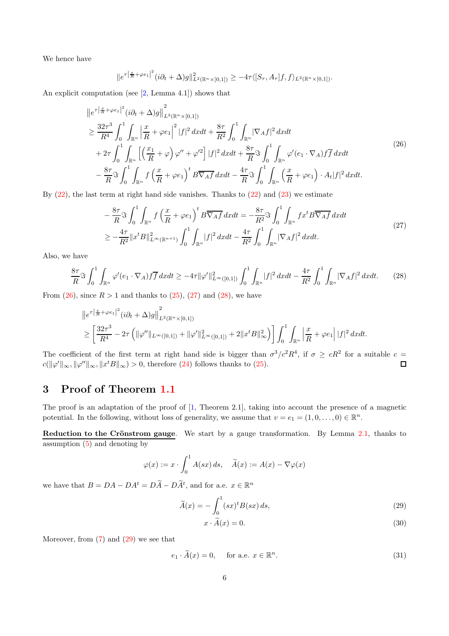We hence have

$$
||e^{\tau\left|\frac{x}{R}+\varphi e_1\right|^2}(i\partial_t+\Delta)g||^2_{L^2(\mathbb{R}^n\times[0,1])}\geq-4\tau\langle [S_\tau,A_\tau]f,f\rangle_{L^2(\mathbb{R}^n\times[0,1])}.
$$

<span id="page-5-0"></span>An explicit computation (see [\[2,](#page-11-4) Lemma 4.1]) shows that

$$
\|e^{\tau\left|\frac{x}{R}+\varphi e_{1}\right|^{2}}(i\partial_{t}+\Delta)g\|_{L^{2}(\mathbb{R}^{n}\times[0,1])}^{2}
$$
\n
$$
\geq \frac{32\tau^{3}}{R^{4}}\int_{0}^{1}\int_{\mathbb{R}^{n}}\left|\frac{x}{R}+\varphi e_{1}\right|^{2}|f|^{2}dxdt+\frac{8\tau}{R^{2}}\int_{0}^{1}\int_{\mathbb{R}^{n}}|\nabla_{A}f|^{2}dxdt
$$
\n
$$
+2\tau\int_{0}^{1}\int_{\mathbb{R}^{n}}\left[\left(\frac{x_{1}}{R}+\varphi\right)\varphi''+\varphi'^{2}\right]|f|^{2}dxdt+\frac{8\tau}{R}\Im\int_{0}^{1}\int_{\mathbb{R}^{n}}\varphi'(e_{1}\cdot\nabla_{A})f\overline{f}dxdt
$$
\n
$$
-\frac{8\tau}{R}\Im\int_{0}^{1}\int_{\mathbb{R}^{n}}f\left(\frac{x}{R}+\varphi e_{1}\right)^{t}B\overline{\nabla_{A}f}dxdt-\frac{4\tau}{R}\Im\int_{0}^{1}\int_{\mathbb{R}^{n}}\left(\frac{x}{R}+\varphi e_{1}\right)\cdot A_{t}|f|^{2}dxdt.
$$
\n(26)

<span id="page-5-1"></span>By  $(22)$ , the last term at right hand side vanishes. Thanks to  $(22)$  and  $(23)$  we estimate

$$
-\frac{8\tau}{R}\Im\int_{0}^{1}\int_{\mathbb{R}^{n}}f\left(\frac{x}{R}+\varphi e_{1}\right)^{t}B\overline{\nabla_{A}f}dxdt = -\frac{8\tau}{R^{2}}\Im\int_{0}^{1}\int_{\mathbb{R}^{n}}fx^{t}B\overline{\nabla_{A}f}dxdt
$$
  
\n
$$
\geq -\frac{4\tau}{R^{2}}\|x^{t}B\|_{L^{\infty}(\mathbb{R}^{n+1})}^{2}\int_{0}^{1}\int_{\mathbb{R}^{n}}|f|^{2}dxdt - \frac{4\tau}{R^{2}}\int_{0}^{1}\int_{\mathbb{R}^{n}}|\nabla_{A}f|^{2}dxdt.
$$
\n(27)

Also, we have

<span id="page-5-2"></span>
$$
\frac{8\tau}{R}\Im\int_{0}^{1}\int_{\mathbb{R}^{n}}\varphi'(e_{1}\cdot\nabla_{A})f\overline{f} dxdt \geq -4\tau\|\varphi'\|_{L^{\infty}([0,1])}^{2}\int_{0}^{1}\int_{\mathbb{R}^{n}}|f|^{2} dxdt - \frac{4\tau}{R^{2}}\int_{0}^{1}\int_{\mathbb{R}^{n}}|\nabla_{A}f|^{2} dxdt.
$$
 (28)

From  $(26)$ , since  $R > 1$  and thanks to  $(25)$ ,  $(27)$  and  $(28)$ , we have

$$
\|e^{\tau\left|\frac{x}{R}+\varphi e_1\right|^2}(i\partial_t+\Delta)g\|_{L^2(\mathbb{R}^n\times[0,1])}^2
$$
  

$$
\geq \left[\frac{32\tau^3}{R^4}-2\tau\left(\|\varphi''\|_{L^\infty([0,1])}+\|\varphi'\|_{L^\infty([0,1])}^2+2\|x^tB\|_\infty^2\right)\right]\int_0^1\int_{\mathbb{R}^n}\left|\frac{x}{R}+\varphi e_1\right||f|^2 dxdt.
$$

The coefficient of the first term at right hand side is bigger than  $\sigma^3/c^2 R^4$ , if  $\sigma \geq cR^2$  for a suitable  $c =$  $c(\|\varphi'\|_{\infty}, \|\varphi''\|_{\infty}, \|x^t B\|_{\infty}) > 0$ , therefore [\(24\)](#page-4-0) follows thanks to [\(25\)](#page-4-4).  $\Box$ 

### 3 Proof of Theorem [1.1](#page-1-0)

The proof is an adaptation of the proof of [\[1,](#page-11-7) Theorem 2.1], taking into account the presence of a magnetic potential. In the following, without loss of generality, we assume that  $v = e_1 = (1, 0, \ldots, 0) \in \mathbb{R}^n$ .

Reduction to the Crönstrom gauge. We start by a gauge transformation. By Lemma  $2.1$ , thanks to assumption [\(5\)](#page-1-1) and denoting by

$$
\varphi(x) := x \cdot \int_0^1 A(sx) \, ds, \quad \widetilde{A}(x) := A(x) - \nabla \varphi(x)
$$

we have that  $B = DA - DA^t = D\widetilde{A} - D\widetilde{A}^t$ , and for a.e.  $x \in \mathbb{R}^n$ 

$$
\widetilde{A}(x) = -\int_{0}^{1} (sx)^{t} B(sx) ds,
$$
\n(29)

<span id="page-5-3"></span>
$$
x \cdot A(x) = 0. \tag{30}
$$

Moreover, from  $(7)$  and  $(29)$  we see that

<span id="page-5-4"></span>
$$
e_1 \cdot \widetilde{A}(x) = 0, \quad \text{ for a.e. } x \in \mathbb{R}^n. \tag{31}
$$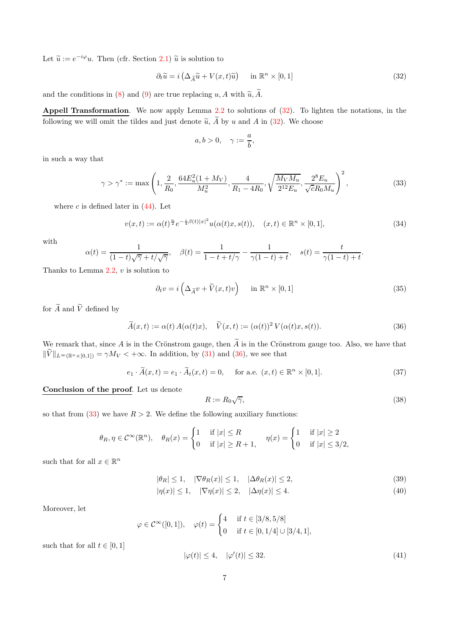Let  $\tilde{u} := e^{-i\varphi}u$ . Then (cfr. Section [2.1\)](#page-3-0)  $\tilde{u}$  is solution to

<span id="page-6-0"></span>
$$
\partial_t \widetilde{u} = i \left( \Delta_{\widetilde{A}} \widetilde{u} + V(x, t) \widetilde{u} \right) \quad \text{in } \mathbb{R}^n \times [0, 1] \tag{32}
$$

and the conditions in [\(8\)](#page-2-0) and [\(9\)](#page-2-1) are true replacing u, A with  $\widetilde{u}, \widetilde{A}$ .

Appell Transformation. We now apply Lemma [2.2](#page-3-4) to solutions of  $(32)$ . To lighten the notations, in the following we will omit the tildes and just denote  $\tilde{u}$ ,  $\tilde{A}$  by u and A in [\(32\)](#page-6-0). We choose

$$
a,b>0,\quad \gamma:=\frac{a}{b},
$$

in such a way that

<span id="page-6-2"></span>
$$
\gamma > \gamma^* := \max\left(1, \frac{2}{R_0}, \frac{64E_u^2(1+M_V)}{M_u^2}, \frac{4}{R_1 - 4R_0}, \sqrt{\frac{M_V M_u}{2^{12} E_u}}, \frac{2^8 E_u}{\sqrt{c} R_0 M_u}\right)^2, \tag{33}
$$

where  $c$  is defined later in  $(44)$ . Let

<span id="page-6-6"></span>
$$
v(x,t) := \alpha(t)^{\frac{n}{2}} e^{-\frac{i}{4}\beta(t)|x|^2} u(\alpha(t)x, s(t)), \quad (x,t) \in \mathbb{R}^n \times [0,1],
$$
\n(34)

with

$$
\alpha(t) = \frac{1}{(1-t)\sqrt{\gamma} + t/\sqrt{\gamma}}, \quad \beta(t) = \frac{1}{1-t+t/\gamma} - \frac{1}{\gamma(1-t)+t}, \quad s(t) = \frac{t}{\gamma(1-t)+t}.
$$

Thanks to Lemma  $2.2$ ,  $v$  is solution to

<span id="page-6-4"></span>
$$
\partial_t v = i \left( \Delta_{\widetilde{A}} v + \widetilde{V}(x, t) v \right) \quad \text{in } \mathbb{R}^n \times [0, 1] \tag{35}
$$

for  $\widetilde{A}$  and  $\widetilde{V}$  defined by

<span id="page-6-1"></span>
$$
\widetilde{A}(x,t) := \alpha(t) A(\alpha(t)x), \quad \widetilde{V}(x,t) := (\alpha(t))^2 V(\alpha(t)x, s(t)).
$$
\n(36)

We remark that, since A is in the Crönstrom gauge, then  $\tilde{A}$  is in the Crönstrom gauge too. Also, we have that  $\|\widetilde{V}\|_{L^{\infty}(\mathbb{R}^n\times[0,1])}=\gamma M_V<+\infty.$  In addition, by [\(31\)](#page-5-4) and [\(36\)](#page-6-1), we see that

$$
e_1 \cdot \widetilde{A}(x,t) = e_1 \cdot \widetilde{A}_t(x,t) = 0, \quad \text{for a.e. } (x,t) \in \mathbb{R}^n \times [0,1].
$$
 (37)

Conclusion of the proof. Let us denote

<span id="page-6-8"></span><span id="page-6-7"></span><span id="page-6-3"></span>
$$
R := R_0 \sqrt{\gamma},\tag{38}
$$

so that from [\(33\)](#page-6-2) we have  $R > 2$ . We define the following auxiliary functions:

$$
\theta_R, \eta \in \mathcal{C}^{\infty}(\mathbb{R}^n), \quad \theta_R(x) = \begin{cases} 1 & \text{if } |x| \le R \\ 0 & \text{if } |x| \ge R+1, \end{cases} \quad \eta(x) = \begin{cases} 1 & \text{if } |x| \ge 2 \\ 0 & \text{if } |x| \le 3/2, \end{cases}
$$

such that for all  $x \in \mathbb{R}^n$ 

$$
|\theta_R| \le 1, \quad |\nabla \theta_R(x)| \le 1, \quad |\Delta \theta_R(x)| \le 2,\tag{39}
$$

$$
|\eta(x)| \le 1, \quad |\nabla \eta(x)| \le 2, \quad |\Delta \eta(x)| \le 4. \tag{40}
$$

Moreover, let

$$
\varphi \in C^{\infty}([0,1]), \quad \varphi(t) = \begin{cases} 4 & \text{if } t \in [3/8, 5/8] \\ 0 & \text{if } t \in [0, 1/4] \cup [3/4, 1], \end{cases}
$$

such that for all  $t \in [0, 1]$ 

<span id="page-6-5"></span>
$$
|\varphi(t)| \le 4, \quad |\varphi'(t)| \le 32. \tag{41}
$$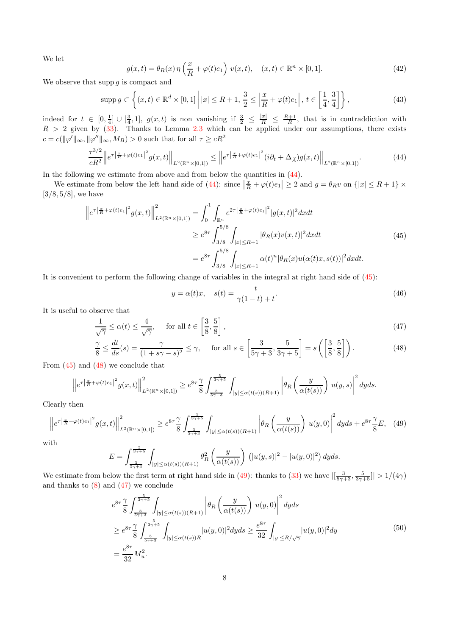We let

<span id="page-7-5"></span>
$$
g(x,t) = \theta_R(x)\,\eta\left(\frac{x}{R} + \varphi(t)e_1\right)\,v(x,t), \quad (x,t) \in \mathbb{R}^n \times [0,1].\tag{42}
$$

We observe that supp  $q$  is compact and

<span id="page-7-6"></span>
$$
\operatorname{supp} g \subset \left\{ (x, t) \in \mathbb{R}^d \times [0, 1] \, \middle| \, |x| \le R + 1, \frac{3}{2} \le \left| \frac{x}{R} + \varphi(t) e_1 \right|, \, t \in \left[ \frac{1}{4}, \frac{3}{4} \right] \right\},\tag{43}
$$

indeed for  $t \in [0, \frac{1}{4}] \cup [\frac{3}{4}, 1]$ ,  $g(x, t)$  is non vanishing if  $\frac{3}{2} \leq \frac{|x|}{R} \leq \frac{R+1}{R}$ , that is in contraddiction with  $R > 2$  given by  $(33)$ . Thanks to Lemma [2.3](#page-4-2) which can be applied under our assumptions, there exists  $c = c(||\varphi'||_{\infty}, ||\varphi''||_{\infty}, M_B) > 0$  such that for all  $\tau \ge cR^2$ 

<span id="page-7-0"></span>
$$
\frac{\tau^{3/2}}{cR^2} \left\| e^{\tau \left| \frac{x}{R} + \varphi(t) e_1 \right|^2} g(x, t) \right\|_{L^2(\mathbb{R}^n \times [0, 1])} \leq \left\| e^{\tau \left| \frac{x}{R} + \varphi(t) e_1 \right|^2} (i \partial_t + \Delta_{\widetilde{A}}) g(x, t) \right\|_{L^2(\mathbb{R}^n \times [0, 1])}. \tag{44}
$$

In the following we estimate from above and from below the quantities in  $(44)$ .

We estimate from below the left hand side of [\(44\)](#page-7-0): since  $\left|\frac{x}{R} + \varphi(t)e_1\right| \geq 2$  and  $g = \theta_R v$  on  $\{|x| \leq R + 1\} \times$  $[3/8, 5/8]$ , we have

$$
\left\|e^{\tau\left|\frac{x}{R}+\varphi(t)e_1\right|^2}g(x,t)\right\|_{L^2(\mathbb{R}^n\times[0,1])}^2 = \int_0^1 \int_{\mathbb{R}^n} e^{2\tau\left|\frac{x}{R}+\varphi(t)e_1\right|^2} |g(x,t)|^2 dxdt
$$
\n
$$
\geq e^{8\tau} \int_{3/8}^{5/8} \int_{|x|\leq R+1} |\theta_R(x)v(x,t)|^2 dxdt
$$
\n
$$
= e^{8\tau} \int_{3/8}^{5/8} \int_{|x|\leq R+1} \alpha(t)^n |\theta_R(x)u(\alpha(t)x,s(t))|^2 dxdt.
$$
\n(45)

<span id="page-7-1"></span>It is convenient to perform the following change of variables in the integral at right hand side of [\(45\)](#page-7-1):

<span id="page-7-7"></span><span id="page-7-4"></span><span id="page-7-2"></span>
$$
y = \alpha(t)x, \quad s(t) = \frac{t}{\gamma(1-t) + t}.
$$
\n
$$
(46)
$$

It is useful to observe that

$$
\frac{1}{\sqrt{\gamma}} \le \alpha(t) \le \frac{4}{\sqrt{\gamma}}, \quad \text{for all } t \in \left[\frac{3}{8}, \frac{5}{8}\right],\tag{47}
$$

$$
\frac{\gamma}{8} \le \frac{dt}{ds}(s) = \frac{\gamma}{(1+s\gamma - s)^2} \le \gamma, \quad \text{for all } s \in \left[\frac{3}{5\gamma + 3}, \frac{5}{3\gamma + 5}\right] = s\left(\left[\frac{3}{8}, \frac{5}{8}\right]\right). \tag{48}
$$

From [\(45\)](#page-7-1) and [\(48\)](#page-7-2) we conclude that

$$
\left\|e^{\tau\left|\frac{x}{R}+\varphi(t)e_1\right|^2}g(x,t)\right\|_{L^2(\mathbb{R}^n\times[0,1])}^2\geq e^{8\tau}\frac{\gamma}{8}\int_{\frac{3}{5\gamma+3}}^{\frac{5}{3\gamma+5}}\int_{|y|\leq\alpha(t(s))(R+1)}\left|\theta_R\left(\frac{y}{\alpha(t(s))}\right)u(y,s)\right|^2dyds.
$$

Clearly then

<span id="page-7-3"></span>
$$
\left\|e^{\tau\left|\frac{x}{R}+\varphi(t)e_1\right|^2}g(x,t)\right\|_{L^2(\mathbb{R}^n\times[0,1])}^2 \geq e^{8\tau}\frac{\gamma}{8}\int_{\frac{3}{5\gamma+3}}^{\frac{5}{3\gamma+5}}\int_{|y|\leq\alpha(t(s))(R+1)}\left|\theta_R\left(\frac{y}{\alpha(t(s))}\right)u(y,0)\right|^2dyds + e^{8\tau}\frac{\gamma}{8}E,\quad(49)
$$

 $\rm v$ 

$$
E = \int_{\frac{3}{5\gamma + 3}}^{\frac{5}{3\gamma + 5}} \int_{|y| \le \alpha(t(s))(R+1)} \theta_R^2 \left( \frac{y}{\alpha(t(s))} \right) (|u(y, s)|^2 - |u(y, 0)|^2) dy ds.
$$

We estimate from below the first term at right hand side in [\(49\)](#page-7-3): thanks to [\(33\)](#page-6-2) we have  $\left|\left[\frac{3}{5\gamma+3},\frac{5}{3\gamma+5}\right]\right|$  > 1/(4 $\gamma$ ) and thanks to  $(8)$  and  $(47)$  we conclude

$$
e^{8\tau} \frac{\gamma}{8} \int_{\frac{3}{5\gamma+3}}^{\frac{5}{3\gamma+5}} \int_{|y| \le \alpha(t(s))(R+1)} \left| \theta_R \left( \frac{y}{\alpha(t(s))} \right) u(y,0) \right|^2 dy ds
$$
  
\n
$$
\ge e^{8\tau} \frac{\gamma}{8} \int_{\frac{3}{5\gamma+3}}^{\frac{5}{3\gamma+5}} \int_{|y| \le \alpha(t(s))R} |u(y,0)|^2 dy ds \ge \frac{e^{8\tau}}{32} \int_{|y| \le R/\sqrt{\gamma}} |u(y,0)|^2 dy
$$
  
\n
$$
= \frac{e^{8\tau}}{32} M_u^2.
$$
\n(50)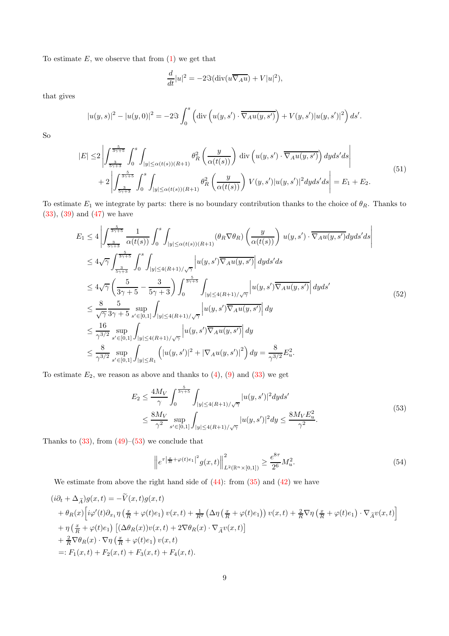To estimate  $E$ , we observe that from  $(1)$  we get that

$$
\frac{d}{dt}|u|^2 = -2\Im(\text{div}(u\overline{\nabla_A u}) + V|u|^2),
$$

that gives

$$
|u(y,s)|^2 - |u(y,0)|^2 = -2\Im \int_0^s \left( \text{div} \left( u(y,s') \cdot \overline{\nabla_A u(y,s')} \right) + V(y,s') |u(y,s')|^2 \right) ds'.
$$

So

$$
|E| \leq 2 \left| \int_{\frac{3}{5\gamma+3}}^{\frac{5}{3\gamma+5}} \int_0^s \int_{|y| \leq \alpha(t(s))(R+1)} \theta_R^2\left(\frac{y}{\alpha(t(s))}\right) \operatorname{div}\left(u(y,s') \cdot \overline{\nabla_A u(y,s')}\right) dy ds' ds \right|
$$
  
+2
$$
\left| \int_{\frac{3}{5\gamma+3}}^{\frac{5}{3\gamma+5}} \int_0^s \int_{|y| \leq \alpha(t(s))(R+1)} \theta_R^2\left(\frac{y}{\alpha(t(s))}\right) V(y,s') |u(y,s')|^2 dy ds' ds \right| = E_1 + E_2.
$$
 (51)

To estimate  $E_1$  we integrate by parts: there is no boundary contribution thanks to the choice of  $\theta_R$ . Thanks to [\(33\)](#page-6-2), [\(39\)](#page-6-3) and [\(47\)](#page-7-4) we have

$$
E_{1} \leq 4 \left| \int_{\frac{3}{5\gamma+5}}^{\frac{5}{3\gamma+5}} \frac{1}{\alpha(t(s))} \int_{0}^{s} \int_{|y| \leq \alpha(t(s))(R+1)} (\theta_{R} \nabla \theta_{R}) \left( \frac{y}{\alpha(t(s))} \right) u(y, s') \cdot \overline{\nabla_{A} u(y, s')} dy ds' ds \right|
$$
  
\n
$$
\leq 4\sqrt{\gamma} \int_{\frac{3}{5\gamma+5}}^{\frac{5}{3\gamma+5}} \int_{0}^{s} \int_{|y| \leq 4(R+1)/\sqrt{\gamma}} \left| u(y, s') \overline{\nabla_{A} u(y, s')} \right| dy ds' ds
$$
  
\n
$$
\leq 4\sqrt{\gamma} \left( \frac{5}{3\gamma+5} - \frac{3}{5\gamma+3} \right) \int_{0}^{\frac{5}{3\gamma+5}} \int_{|y| \leq 4(R+1)/\sqrt{\gamma}} \left| u(y, s') \overline{\nabla_{A} u(y, s')} \right| dy ds'
$$
  
\n
$$
\leq \frac{8}{\sqrt{\gamma}} \frac{5}{3\gamma+5} \sup_{s' \in [0,1]} \int_{|y| \leq 4(R+1)/\sqrt{\gamma}} \left| u(y, s') \overline{\nabla_{A} u(y, s')} \right| dy
$$
  
\n
$$
\leq \frac{16}{\gamma^{3/2}} \sup_{s' \in [0,1]} \int_{|y| \leq 4(R+1)/\sqrt{\gamma}} \left| u(y, s') \overline{\nabla_{A} u(y, s')} \right| dy
$$
  
\n
$$
\leq \frac{8}{\gamma^{3/2}} \sup_{s' \in [0,1]} \int_{|y| \leq R_{1}} \left( |u(y, s')|^{2} + |\nabla_{A} u(y, s')|^{2} \right) dy = \frac{8}{\gamma^{3/2}} E_{u}^{2}.
$$

To estimate  $E_2$ , we reason as above and thanks to  $(4)$ ,  $(9)$  and  $(33)$  we get

$$
E_2 \le \frac{4M_V}{\gamma} \int_0^{\frac{5}{3\gamma+5}} \int_{|y| \le 4(R+1)/\sqrt{\gamma}} |u(y, s')|^2 dy ds' \le \frac{8M_V}{\gamma^2} \sup_{s' \in [0, 1]} \int_{|y| \le 4(R+1)/\sqrt{\gamma}} |u(y, s')|^2 dy \le \frac{8M_V E_u^2}{\gamma^2}.
$$
\n(53)

<span id="page-8-0"></span>Thanks to  $(33)$ , from  $(49)$ – $(53)$  we conclude that

<span id="page-8-1"></span>
$$
\left\|e^{\tau\left|\frac{x}{R}+\varphi(t)e_1\right|^2}g(x,t)\right\|_{L^2(\mathbb{R}^n\times[0,1])}^2 \ge \frac{e^{8\tau}}{2^6}M_u^2. \tag{54}
$$

We estimate from above the right hand side of [\(44\)](#page-7-0): from [\(35\)](#page-6-4) and [\(42\)](#page-7-5) we have

$$
\begin{split}\n(i\partial_t + \Delta_{\widetilde{A}})g(x,t) &= -\widetilde{V}(x,t)g(x,t) \\
&+ \theta_R(x)\Big[i\varphi'(t)\partial_{x_1}\eta\left(\frac{x}{R} + \varphi(t)e_1\right)v(x,t) + \frac{1}{R^2}\left(\Delta\eta\left(\frac{x}{R} + \varphi(t)e_1\right)v(x,t) + \frac{2}{R}\nabla\eta\left(\frac{x}{R} + \varphi(t)e_1\right)\cdot\nabla_{\widetilde{A}}v(x,t)\Big] \\
&+ \eta\left(\frac{x}{R} + \varphi(t)e_1\right)\left[(\Delta\theta_R(x))v(x,t) + 2\nabla\theta_R(x)\cdot\nabla_{\widetilde{A}}v(x,t)\right] \\
&+ \frac{2}{R}\nabla\theta_R(x)\cdot\nabla\eta\left(\frac{x}{R} + \varphi(t)e_1\right)v(x,t) \\
&=: F_1(x,t) + F_2(x,t) + F_3(x,t) + F_4(x,t).\n\end{split}
$$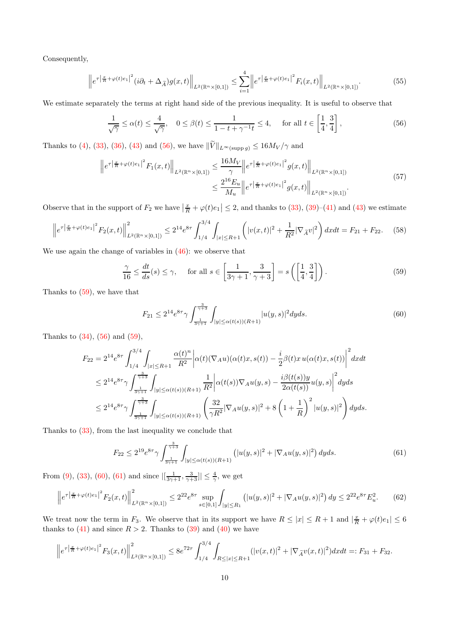Consequently,

<span id="page-9-4"></span>
$$
\left\|e^{\tau\left|\frac{x}{R}+\varphi(t)e_{1}\right|^{2}}(i\partial_{t}+\Delta_{\widetilde{A}})g(x,t)\right\|_{L^{2}(\mathbb{R}^{n}\times[0,1])}\leq\sum_{i=1}^{4}\left\|e^{\tau\left|\frac{x}{R}+\varphi(t)e_{1}\right|^{2}}F_{i}(x,t)\right\|_{L^{2}(\mathbb{R}^{n}\times[0,1])}.
$$
(55)

We estimate separately the terms at right hand side of the previous inequality. It is useful to observe that

<span id="page-9-0"></span>
$$
\frac{1}{\sqrt{\gamma}} \le \alpha(t) \le \frac{4}{\sqrt{\gamma}}, \quad 0 \le \beta(t) \le \frac{1}{1 - t + \gamma^{-1}t} \le 4, \quad \text{for all } t \in \left[\frac{1}{4}, \frac{3}{4}\right],\tag{56}
$$

Thanks to [\(4\)](#page-1-3), [\(33\)](#page-6-2), [\(36\)](#page-6-1), [\(43\)](#page-7-6) and [\(56\)](#page-9-0), we have  $\|\widetilde{V}\|_{L^{\infty}(\text{supp }g)} \leq 16M_V/\gamma$  and

$$
\|e^{\tau\left|\frac{x}{R}+\varphi(t)e_1\right|^2}F_1(x,t)\|_{L^2(\mathbb{R}^n\times[0,1])} \leq \frac{16M_V}{\gamma}\left\|e^{\tau\left|\frac{x}{R}+\varphi(t)e_1\right|^2}g(x,t)\right\|_{L^2(\mathbb{R}^n\times[0,1])}
$$
\n
$$
\leq \frac{2^{16}E_u}{M_u}\left\|e^{\tau\left|\frac{x}{R}+\varphi(t)e_1\right|^2}g(x,t)\right\|_{L^2(\mathbb{R}^n\times[0,1])}.
$$
\n(57)

<span id="page-9-5"></span>Observe that in the support of  $F_2$  we have  $\left|\frac{x}{R} + \varphi(t)e_1\right| \leq 2$ , and thanks to  $(33)$ ,  $(39)-(41)$  $(39)-(41)$  and  $(43)$  we estimate

$$
\left\|e^{\tau\left|\frac{x}{R}+\varphi(t)e_1\right|^2}F_2(x,t)\right\|_{L^2(\mathbb{R}^n\times[0,1])}^2\leq 2^{14}e^{8\tau}\int_{1/4}^{3/4}\int_{|x|\leq R+1}\left(|v(x,t)|^2+\frac{1}{R^2}|\nabla_{\tilde{A}}v|^2\right)dxdt = F_{21}+F_{22}.\tag{58}
$$

We use again the change of variables in  $(46)$ : we observe that

<span id="page-9-1"></span>
$$
\frac{\gamma}{16} \le \frac{dt}{ds}(s) \le \gamma, \quad \text{ for all } s \in \left[\frac{1}{3\gamma + 1}, \frac{3}{\gamma + 3}\right] = s\left(\left[\frac{1}{4}, \frac{3}{4}\right]\right). \tag{59}
$$

Thanks to [\(59\)](#page-9-1), we have that

<span id="page-9-2"></span>
$$
F_{21} \le 2^{14} e^{8\tau} \gamma \int_{\frac{1}{3\gamma+1}}^{\frac{3}{\gamma+3}} \int_{|y| \le \alpha(t(s))(R+1)} |u(y,s)|^2 dy ds. \tag{60}
$$

Thanks to  $(34)$ ,  $(56)$  and  $(59)$ ,

$$
F_{22} = 2^{14} e^{8\tau} \int_{1/4}^{3/4} \int_{|x| \le R+1} \frac{\alpha(t)^n}{R^2} \left| \alpha(t)(\nabla_A u)(\alpha(t)x, s(t)) - \frac{i}{2} \beta(t)x u(\alpha(t)x, s(t)) \right|^2 dx dt
$$
  
\n
$$
\le 2^{14} e^{8\tau} \gamma \int_{\frac{1}{3\gamma+1}}^{\frac{3}{\gamma+3}} \int_{|y| \le \alpha(t(s))(R+1)} \frac{1}{R^2} \left| \alpha(t(s)) \nabla_A u(y, s) - \frac{i\beta(t(s))y}{2\alpha(t(s))} u(y, s) \right|^2 dy ds
$$
  
\n
$$
\le 2^{14} e^{8\tau} \gamma \int_{\frac{1}{3\gamma+1}}^{\frac{3}{\gamma+3}} \int_{|y| \le \alpha(t(s))(R+1)} \left( \frac{32}{\gamma R^2} |\nabla_A u(y, s)|^2 + 8 \left( 1 + \frac{1}{R} \right)^2 |u(y, s)|^2 \right) dy ds.
$$

Thanks to [\(33\)](#page-6-2), from the last inequality we conclude that

<span id="page-9-3"></span>
$$
F_{22} \le 2^{19} e^{8\tau} \gamma \int_{\frac{1}{3\gamma+1}}^{\frac{3}{\gamma+3}} \int_{|y| \le \alpha(t(s))(R+1)} \left( |u(y,s)|^2 + |\nabla_A u(y,s)|^2 \right) dy ds. \tag{61}
$$

From [\(9\)](#page-2-1), [\(33\)](#page-6-2), [\(60\)](#page-9-2), [\(61\)](#page-9-3) and since  $|[\frac{1}{3\gamma+1}, \frac{3}{\gamma+3}]| \leq \frac{4}{\gamma}$ , we get

<span id="page-9-6"></span>
$$
\left\|e^{\tau\left|\frac{x}{R}+\varphi(t)e_1\right|^2}F_2(x,t)\right\|_{L^2(\mathbb{R}^n\times[0,1])}^2\leq 2^{22}e^{8\tau}\sup_{s\in[0,1]}\int_{|y|\leq R_1}\left(|u(y,s)|^2+|\nabla_A u(y,s)|^2\right)dy\leq 2^{22}e^{8\tau}E_u^2. \tag{62}
$$

We treat now the term in  $F_3$ . We observe that in its support we have  $R \leq |x| \leq R+1$  and  $|\frac{x}{R} + \varphi(t)e_1| \leq 6$ thanks to  $(41)$  and since  $R > 2$ . Thanks to  $(39)$  and  $(40)$  we have

$$
\left\|e^{\tau\left|\frac{x}{R}+\varphi(t)e_1\right|^2}F_3(x,t)\right\|_{L^2(\mathbb{R}^n\times[0,1])}^2\leq 8e^{72\tau}\int_{1/4}^{3/4}\int_{R\leq |x|\leq R+1}(|v(x,t)|^2+|\nabla_{\widetilde{A}}v(x,t)|^2)dxdt=:F_{31}+F_{32}.
$$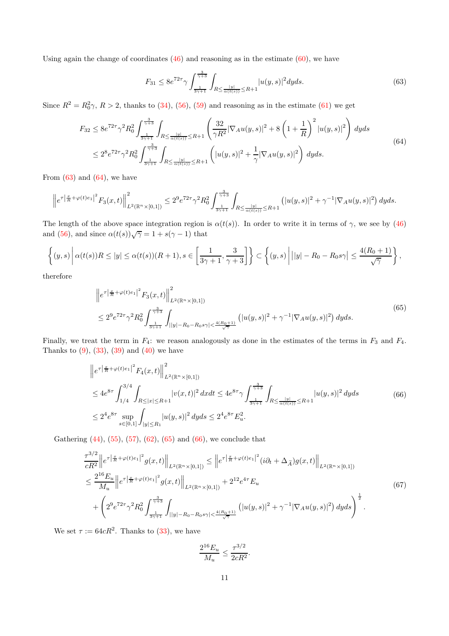Using again the change of coordinates  $(46)$  and reasoning as in the estimate  $(60)$ , we have

<span id="page-10-0"></span>
$$
F_{31} \le 8e^{72\tau} \gamma \int_{\frac{1}{3\gamma+1}}^{\frac{3}{\gamma+3}} \int_{R \le \frac{|y|}{\alpha(t(s))} \le R+1} |u(y,s)|^2 dyds. \tag{63}
$$

<span id="page-10-1"></span>Since  $R^2 = R_0^2 \gamma$ ,  $R > 2$ , thanks to [\(34\)](#page-6-6), [\(56\)](#page-9-0), [\(59\)](#page-9-1) and reasoning as in the estimate [\(61\)](#page-9-3) we get

$$
F_{32} \le 8e^{72\tau} \gamma^2 R_0^2 \int_{\frac{1}{3\gamma+1}}^{\frac{3}{\gamma+3}} \int_{R \le \frac{|y|}{\alpha(t(s))} \le R+1} \left( \frac{32}{\gamma R^2} |\nabla_A u(y,s)|^2 + 8\left(1 + \frac{1}{R}\right)^2 |u(y,s)|^2 \right) dyds
$$
  

$$
\le 2^8 e^{72\tau} \gamma^2 R_0^2 \int_{\frac{1}{3\gamma+1}}^{\frac{3}{\gamma+3}} \int_{R \le \frac{|y|}{\alpha(t(s))} \le R+1} \left( |u(y,s)|^2 + \frac{1}{\gamma} |\nabla_A u(y,s)|^2 \right) dyds.
$$
 (64)

From  $(63)$  and  $(64)$ , we have

$$
\left\|e^{\tau\left|\frac{x}{R}+\varphi(t)e_1\right|^2}F_3(x,t)\right\|_{L^2(\mathbb{R}^n\times[0,1])}^2\leq 2^9e^{72\tau}\gamma^2R_0^2\int_{\frac{1}{3\gamma+1}}^{\frac{3}{\gamma+3}}\int_{R\leq\frac{|y|}{\alpha(t(s))}\leq R+1}\left(|u(y,s)|^2+\gamma^{-1}|\nabla_A u(y,s)|^2\right)dyds.
$$

The length of the above space integration region is  $\alpha(t(s))$ . In order to write it in terms of  $\gamma$ , we see by [\(46\)](#page-7-7) and [\(56\)](#page-9-0), and since  $\alpha(t(s))\sqrt{\gamma} = 1 + s(\gamma - 1)$  that

$$
\left\{(y,s)\,\bigg|\,\alpha(t(s))R\leq|y|\leq\alpha(t(s))(R+1),s\in\left[\frac{1}{3\gamma+1},\frac{3}{\gamma+3}\right]\right\}\subset\left\{(y,s)\,\bigg|\,||y|-R_0-R_0s\gamma\big|\leq\frac{4(R_0+1)}{\sqrt{\gamma}}\right\},\,
$$

<span id="page-10-2"></span>therefore

$$
\|e^{\tau\left|\frac{x}{R}+\varphi(t)e_1\right|^2} F_3(x,t)\|_{L^2(\mathbb{R}^n\times[0,1])}^2
$$
\n
$$
\leq 2^9 e^{72\tau} \gamma^2 R_0^2 \int_{\frac{1}{3\gamma+1}}^{\frac{3}{\gamma+3}} \int_{||y|-R_0-R_0s\gamma|<\frac{4(R_0+1)}{\sqrt{\gamma}}} (|u(y,s)|^2 + \gamma^{-1}|\nabla_A u(y,s)|^2) dyds.
$$
\n
$$
(65)
$$

Finally, we treat the term in  $F_4$ : we reason analogously as done in the estimates of the terms in  $F_3$  and  $F_4$ . Thanks to  $(9)$ ,  $(33)$ ,  $(39)$  and  $(40)$  we have

$$
\|e^{\tau |\frac{x}{R} + \varphi(t)e_1|^2} F_4(x,t)\|_{L^2(\mathbb{R}^n \times [0,1])}^2
$$
  
\n
$$
\leq 4e^{8\tau} \int_{1/4}^{3/4} \int_{R \leq |x| \leq R+1} |v(x,t)|^2 dx dt \leq 4e^{8\tau} \gamma \int_{\frac{1}{3\gamma+1}}^{\frac{3}{\gamma+3}} \int_{R \leq \frac{|y|}{\alpha(t(s))} \leq R+1} |u(y,s)|^2 dy ds
$$
(66)  
\n
$$
\leq 2^4 e^{8\tau} \sup_{s \in [0,1]} \int_{|y| \leq R_1} |u(y,s)|^2 dy ds \leq 2^4 e^{8\tau} E_u^2.
$$

<span id="page-10-3"></span>Gathering [\(44\)](#page-7-0), [\(55\)](#page-9-4), [\(57\)](#page-9-5), [\(62\)](#page-9-6), [\(65\)](#page-10-2) and [\(66\)](#page-10-3), we conclude that

$$
\frac{\tau^{3/2}}{cR^2} \left\| e^{\tau \left| \frac{x}{R} + \varphi(t)e_1 \right|^2} g(x, t) \right\|_{L^2(\mathbb{R}^n \times [0, 1])} \leq \left\| e^{\tau \left| \frac{x}{R} + \varphi(t)e_1 \right|^2} (i\partial_t + \Delta_{\widetilde{A}}) g(x, t) \right\|_{L^2(\mathbb{R}^n \times [0, 1])}
$$
\n
$$
\leq \frac{2^{16} E_u}{M_u} \left\| e^{\tau \left| \frac{x}{R} + \varphi(t)e_1 \right|^2} g(x, t) \right\|_{L^2(\mathbb{R}^n \times [0, 1])} + 2^{12} e^{4\tau} E_u
$$
\n
$$
+ \left( 2^9 e^{72\tau} \gamma^2 R_0^2 \int_{\frac{1}{3\gamma + 1}}^{\frac{3}{\gamma + 3}} \int_{\left| |y| - R_0 - R_0 s\gamma \right| < \frac{4(R_0 + 1)}{\sqrt{\gamma}}} \left( |u(y, s)|^2 + \gamma^{-1} |\nabla_A u(y, s)|^2 \right) dy ds \right)^{\frac{1}{2}}.
$$
\n
$$
(67)
$$

<span id="page-10-4"></span>We set  $\tau := 64cR^2$ . Thanks to [\(33\)](#page-6-2), we have

$$
\frac{2^{16}E_u}{M_u} \le \frac{\tau^{3/2}}{2cR^2}.
$$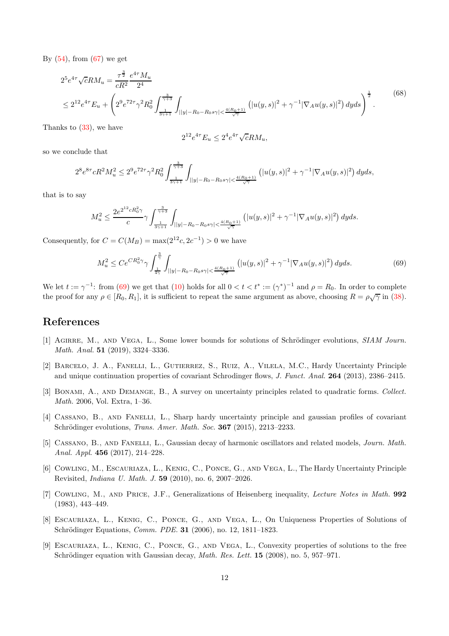By  $(54)$ , from  $(67)$  we get

$$
2^{5}e^{4\tau}\sqrt{c}RM_{u} = \frac{\tau^{\frac{3}{2}}}{cR^{2}}\frac{e^{4\tau}M_{u}}{2^{4}}
$$
  

$$
\leq 2^{12}e^{4\tau}E_{u} + \left(2^{9}e^{72\tau}\gamma^{2}R_{0}^{2}\int_{\frac{1}{3\gamma+1}}^{\frac{3}{\gamma+3}}\int_{||y|-R_{0}-R_{0}s\gamma|<\frac{4(R_{0}+1)}{\sqrt{\gamma}}}\left(|u(y,s)|^{2}+\gamma^{-1}|\nabla_{A}u(y,s)|^{2}\right)dyds\right)^{\frac{1}{2}}.
$$
(68)

Thanks to [\(33\)](#page-6-2), we have

$$
2^{12}e^{4\tau}E_u \le 2^4e^{4\tau}\sqrt{c}RM_u,
$$

so we conclude that

$$
2^{8}e^{8\tau}cR^{2}M_{u}^{2} \leq 2^{9}e^{72\tau}\gamma^{2}R_{0}^{2}\int_{\frac{1}{3\gamma+1}}^{\frac{3}{\gamma+3}}\int_{||y|-R_{0}-R_{0}s\gamma|<\frac{4(R_{0}+1)}{\sqrt{\gamma}}}\left(|u(y,s)|^{2}+\gamma^{-1}|\nabla_{A}u(y,s)|^{2}\right)dyds,
$$

that is to say

$$
M_u^2 \leq \frac{2e^{2^{12}cR_0^2\gamma}}{c}\gamma \int_{\frac{1}{3\gamma+1}}^{\frac{3}{\gamma+3}}\int_{||y|-R_0-R_0s\gamma |<\frac{4(R_0+1)}{\sqrt{\gamma}}}\left(|u(y,s)|^2 + \gamma^{-1}|\nabla_A u(y,s)|^2\right)dyds.
$$

Consequently, for  $C = C(M_B) = \max(2^{12}c, 2c^{-1}) > 0$  we have

<span id="page-11-8"></span>
$$
M_u^2 \le Ce^{CR_0^2\gamma} \gamma \int_{\frac{1}{4\gamma}}^{\frac{3}{\gamma}} \int_{||y|-R_0-R_0s\gamma| < \frac{4(R_0+1)}{\sqrt{\gamma}}} \left( |u(y,s)|^2 + \gamma^{-1} |\nabla_A u(y,s)|^2 \right) dyds. \tag{69}
$$

We let  $t := \gamma^{-1}$ : from [\(69\)](#page-11-8) we get that [\(10\)](#page-2-2) holds for all  $0 < t < t^* := (\gamma^*)^{-1}$  and  $\rho = R_0$ . In order to complete the proof for any  $\rho \in [R_0, R_1]$ , it is sufficient to repeat the same argument as above, choosing  $R = \rho \sqrt{\gamma}$  in [\(38\)](#page-6-8).

### <span id="page-11-7"></span>References

- <span id="page-11-4"></span>[1] AGIRRE, M., AND VEGA, L., Some lower bounds for solutions of Schrödinger evolutions, SIAM Journ. Math. Anal. 51 (2019), 3324–3336.
- [2] Barcelo, J. A., Fanelli, L., Gutierrez, S., Ruiz, A., Vilela, M.C., Hardy Uncertainty Principle and unique continuation properties of covariant Schrodinger flows, J. Funct. Anal. 264 (2013), 2386–2415.
- <span id="page-11-5"></span><span id="page-11-1"></span>[3] Bonami, A., and Demange, B., A survey on uncertainty principles related to quadratic forms. Collect. Math. 2006, Vol. Extra, 1–36.
- [4] Cassano, B., and Fanelli, L., Sharp hardy uncertainty principle and gaussian profiles of covariant Schrödinger evolutions, *Trans. Amer. Math. Soc.* **367** (2015), 2213-2233.
- <span id="page-11-6"></span>[5] Cassano, B., and Fanelli, L., Gaussian decay of harmonic oscillators and related models, Journ. Math. Anal. Appl. 456 (2017), 214–228.
- <span id="page-11-3"></span>[6] Cowling, M., Escauriaza, L., Kenig, C., Ponce, G., and Vega, L., The Hardy Uncertainty Principle Revisited, Indiana U. Math. J. 59 (2010), no. 6, 2007–2026.
- <span id="page-11-0"></span>[7] Cowling, M., and Price, J.F., Generalizations of Heisenberg inequality, Lecture Notes in Math. 992 (1983), 443–449.
- <span id="page-11-2"></span>[8] Escauriaza, L., Kenig, C., Ponce, G., and Vega, L., On Uniqueness Properties of Solutions of Schrödinger Equations, *Comm. PDE.* **31** (2006), no. 12, 1811–1823.
- [9] Escauriaza, L., Kenig, C., Ponce, G., and Vega, L., Convexity properties of solutions to the free Schrödinger equation with Gaussian decay, *Math. Res. Lett.*  $15$  (2008), no. 5, 957–971.